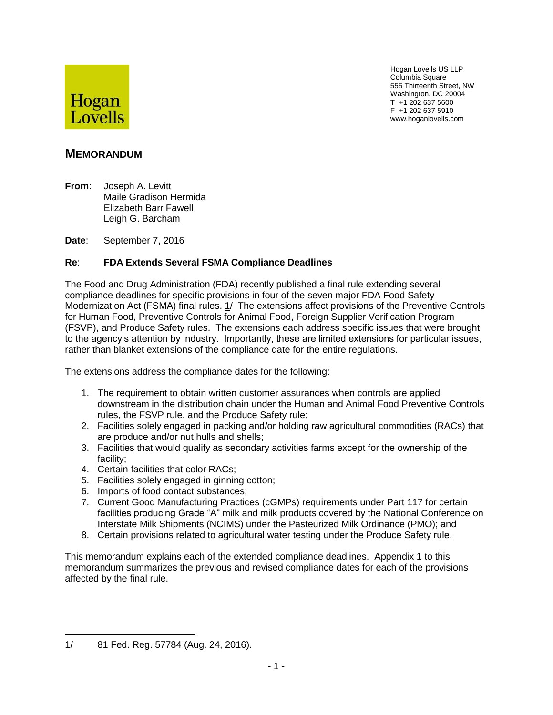

Hogan Lovells US LLP Columbia Square 555 Thirteenth Street, NW Washington, DC 20004 T +1 202 637 5600 F +1 202 637 5910 www.hoganlovells.com

# **MEMORANDUM**

**From**: Joseph A. Levitt Maile Gradison Hermida Elizabeth Barr Fawell Leigh G. Barcham

**Date**: September 7, 2016

## **Re**: **FDA Extends Several FSMA Compliance Deadlines**

The Food and Drug Administration (FDA) recently published a final rule extending several compliance deadlines for specific provisions in four of the seven major FDA Food Safety Modernization Act (FSMA) final rules. 1/ The extensions affect provisions of the Preventive Controls for Human Food, Preventive Controls for Animal Food, Foreign Supplier Verification Program (FSVP), and Produce Safety rules. The extensions each address specific issues that were brought to the agency's attention by industry. Importantly, these are limited extensions for particular issues, rather than blanket extensions of the compliance date for the entire regulations.

The extensions address the compliance dates for the following:

- 1. The requirement to obtain written customer assurances when controls are applied downstream in the distribution chain under the Human and Animal Food Preventive Controls rules, the FSVP rule, and the Produce Safety rule;
- 2. Facilities solely engaged in packing and/or holding raw agricultural commodities (RACs) that are produce and/or nut hulls and shells;
- 3. Facilities that would qualify as secondary activities farms except for the ownership of the facility;
- 4. Certain facilities that color RACs;
- 5. Facilities solely engaged in ginning cotton;
- 6. Imports of food contact substances;
- 7. Current Good Manufacturing Practices (cGMPs) requirements under Part 117 for certain facilities producing Grade "A" milk and milk products covered by the National Conference on Interstate Milk Shipments (NCIMS) under the Pasteurized Milk Ordinance (PMO); and
- 8. Certain provisions related to agricultural water testing under the Produce Safety rule.

This memorandum explains each of the extended compliance deadlines. Appendix 1 to this memorandum summarizes the previous and revised compliance dates for each of the provisions affected by the final rule.

 $\overline{a}$ 1/ 81 Fed. Reg. 57784 (Aug. 24, 2016).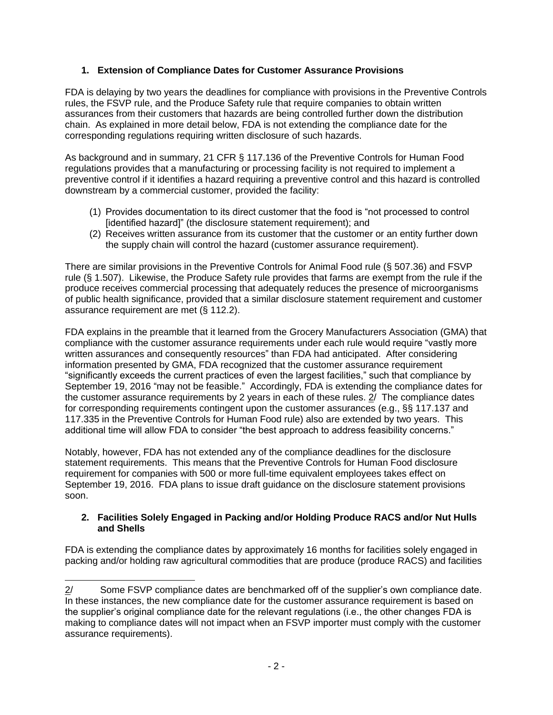## **1. Extension of Compliance Dates for Customer Assurance Provisions**

FDA is delaying by two years the deadlines for compliance with provisions in the Preventive Controls rules, the FSVP rule, and the Produce Safety rule that require companies to obtain written assurances from their customers that hazards are being controlled further down the distribution chain. As explained in more detail below, FDA is not extending the compliance date for the corresponding regulations requiring written disclosure of such hazards.

As background and in summary, 21 CFR § 117.136 of the Preventive Controls for Human Food regulations provides that a manufacturing or processing facility is not required to implement a preventive control if it identifies a hazard requiring a preventive control and this hazard is controlled downstream by a commercial customer, provided the facility:

- (1) Provides documentation to its direct customer that the food is "not processed to control [identified hazard]" (the disclosure statement requirement); and
- (2) Receives written assurance from its customer that the customer or an entity further down the supply chain will control the hazard (customer assurance requirement).

There are similar provisions in the Preventive Controls for Animal Food rule (§ 507.36) and FSVP rule (§ 1.507). Likewise, the Produce Safety rule provides that farms are exempt from the rule if the produce receives commercial processing that adequately reduces the presence of microorganisms of public health significance, provided that a similar disclosure statement requirement and customer assurance requirement are met (§ 112.2).

FDA explains in the preamble that it learned from the Grocery Manufacturers Association (GMA) that compliance with the customer assurance requirements under each rule would require "vastly more written assurances and consequently resources" than FDA had anticipated. After considering information presented by GMA, FDA recognized that the customer assurance requirement "significantly exceeds the current practices of even the largest facilities," such that compliance by September 19, 2016 "may not be feasible." Accordingly, FDA is extending the compliance dates for the customer assurance requirements by 2 years in each of these rules. 2/ The compliance dates for corresponding requirements contingent upon the customer assurances (e.g., §§ 117.137 and 117.335 in the Preventive Controls for Human Food rule) also are extended by two years. This additional time will allow FDA to consider "the best approach to address feasibility concerns."

Notably, however, FDA has not extended any of the compliance deadlines for the disclosure statement requirements. This means that the Preventive Controls for Human Food disclosure requirement for companies with 500 or more full-time equivalent employees takes effect on September 19, 2016. FDA plans to issue draft guidance on the disclosure statement provisions soon.

#### **2. Facilities Solely Engaged in Packing and/or Holding Produce RACS and/or Nut Hulls and Shells**

FDA is extending the compliance dates by approximately 16 months for facilities solely engaged in packing and/or holding raw agricultural commodities that are produce (produce RACS) and facilities

 $\overline{a}$ 2/ Some FSVP compliance dates are benchmarked off of the supplier's own compliance date. In these instances, the new compliance date for the customer assurance requirement is based on the supplier's original compliance date for the relevant regulations (i.e., the other changes FDA is making to compliance dates will not impact when an FSVP importer must comply with the customer assurance requirements).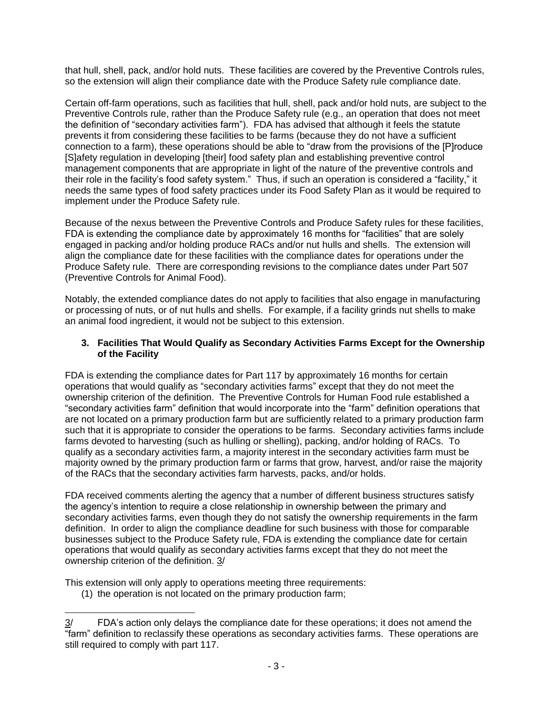that hull, shell, pack, and/or hold nuts. These facilities are covered by the Preventive Controls rules, so the extension will align their compliance date with the Produce Safety rule compliance date.

Certain off-farm operations, such as facilities that hull, shell, pack and/or hold nuts, are subject to the Preventive Controls rule, rather than the Produce Safety rule (e.g., an operation that does not meet the definition of "secondary activities farm"). FDA has advised that although it feels the statute prevents it from considering these facilities to be farms (because they do not have a sufficient connection to a farm), these operations should be able to "draw from the provisions of the [P]roduce [S]afety regulation in developing [their] food safety plan and establishing preventive control management components that are appropriate in light of the nature of the preventive controls and their role in the facility's food safety system." Thus, if such an operation is considered a "facility," it needs the same types of food safety practices under its Food Safety Plan as it would be required to implement under the Produce Safety rule.

Because of the nexus between the Preventive Controls and Produce Safety rules for these facilities, FDA is extending the compliance date by approximately 16 months for "facilities" that are solely engaged in packing and/or holding produce RACs and/or nut hulls and shells. The extension will align the compliance date for these facilities with the compliance dates for operations under the Produce Safety rule. There are corresponding revisions to the compliance dates under Part 507 (Preventive Controls for Animal Food).

Notably, the extended compliance dates do not apply to facilities that also engage in manufacturing or processing of nuts, or of nut hulls and shells. For example, if a facility grinds nut shells to make an animal food ingredient, it would not be subject to this extension.

#### **3. Facilities That Would Qualify as Secondary Activities Farms Except for the Ownership of the Facility**

FDA is extending the compliance dates for Part 117 by approximately 16 months for certain operations that would qualify as "secondary activities farms" except that they do not meet the ownership criterion of the definition. The Preventive Controls for Human Food rule established a "secondary activities farm" definition that would incorporate into the "farm" definition operations that are not located on a primary production farm but are sufficiently related to a primary production farm such that it is appropriate to consider the operations to be farms. Secondary activities farms include farms devoted to harvesting (such as hulling or shelling), packing, and/or holding of RACs. To qualify as a secondary activities farm, a majority interest in the secondary activities farm must be majority owned by the primary production farm or farms that grow, harvest, and/or raise the majority of the RACs that the secondary activities farm harvests, packs, and/or holds.

FDA received comments alerting the agency that a number of different business structures satisfy the agency's intention to require a close relationship in ownership between the primary and secondary activities farms, even though they do not satisfy the ownership requirements in the farm definition. In order to align the compliance deadline for such business with those for comparable businesses subject to the Produce Safety rule, FDA is extending the compliance date for certain operations that would qualify as secondary activities farms except that they do not meet the ownership criterion of the definition. 3/

This extension will only apply to operations meeting three requirements:

(1) the operation is not located on the primary production farm;

 $\overline{a}$ 3/ FDA's action only delays the compliance date for these operations; it does not amend the "farm" definition to reclassify these operations as secondary activities farms. These operations are still required to comply with part 117.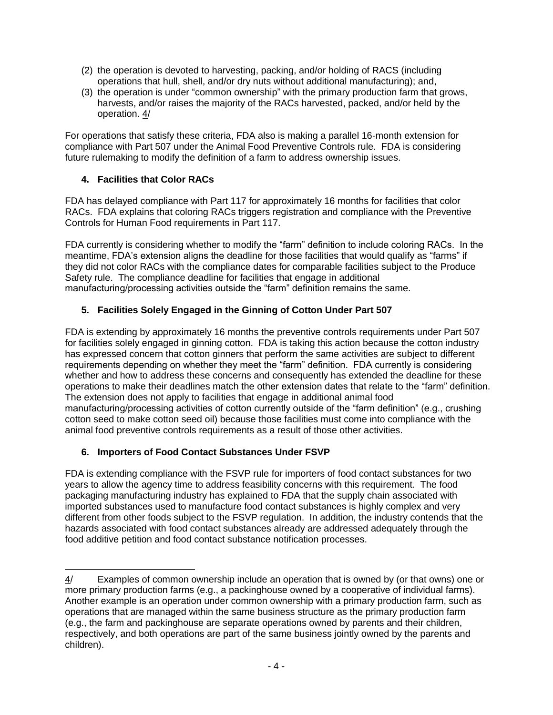- (2) the operation is devoted to harvesting, packing, and/or holding of RACS (including operations that hull, shell, and/or dry nuts without additional manufacturing); and,
- (3) the operation is under "common ownership" with the primary production farm that grows, harvests, and/or raises the majority of the RACs harvested, packed, and/or held by the operation. 4/

For operations that satisfy these criteria, FDA also is making a parallel 16-month extension for compliance with Part 507 under the Animal Food Preventive Controls rule. FDA is considering future rulemaking to modify the definition of a farm to address ownership issues.

# **4. Facilities that Color RACs**

FDA has delayed compliance with Part 117 for approximately 16 months for facilities that color RACs. FDA explains that coloring RACs triggers registration and compliance with the Preventive Controls for Human Food requirements in Part 117.

FDA currently is considering whether to modify the "farm" definition to include coloring RACs. In the meantime, FDA's extension aligns the deadline for those facilities that would qualify as "farms" if they did not color RACs with the compliance dates for comparable facilities subject to the Produce Safety rule. The compliance deadline for facilities that engage in additional manufacturing/processing activities outside the "farm" definition remains the same.

# **5. Facilities Solely Engaged in the Ginning of Cotton Under Part 507**

FDA is extending by approximately 16 months the preventive controls requirements under Part 507 for facilities solely engaged in ginning cotton. FDA is taking this action because the cotton industry has expressed concern that cotton ginners that perform the same activities are subject to different requirements depending on whether they meet the "farm" definition. FDA currently is considering whether and how to address these concerns and consequently has extended the deadline for these operations to make their deadlines match the other extension dates that relate to the "farm" definition. The extension does not apply to facilities that engage in additional animal food manufacturing/processing activities of cotton currently outside of the "farm definition" (e.g., crushing cotton seed to make cotton seed oil) because those facilities must come into compliance with the animal food preventive controls requirements as a result of those other activities.

# **6. Importers of Food Contact Substances Under FSVP**

FDA is extending compliance with the FSVP rule for importers of food contact substances for two years to allow the agency time to address feasibility concerns with this requirement. The food packaging manufacturing industry has explained to FDA that the supply chain associated with imported substances used to manufacture food contact substances is highly complex and very different from other foods subject to the FSVP regulation. In addition, the industry contends that the hazards associated with food contact substances already are addressed adequately through the food additive petition and food contact substance notification processes.

 $\overline{a}$ 4/ Examples of common ownership include an operation that is owned by (or that owns) one or more primary production farms (e.g., a packinghouse owned by a cooperative of individual farms). Another example is an operation under common ownership with a primary production farm, such as operations that are managed within the same business structure as the primary production farm (e.g., the farm and packinghouse are separate operations owned by parents and their children, respectively, and both operations are part of the same business jointly owned by the parents and children).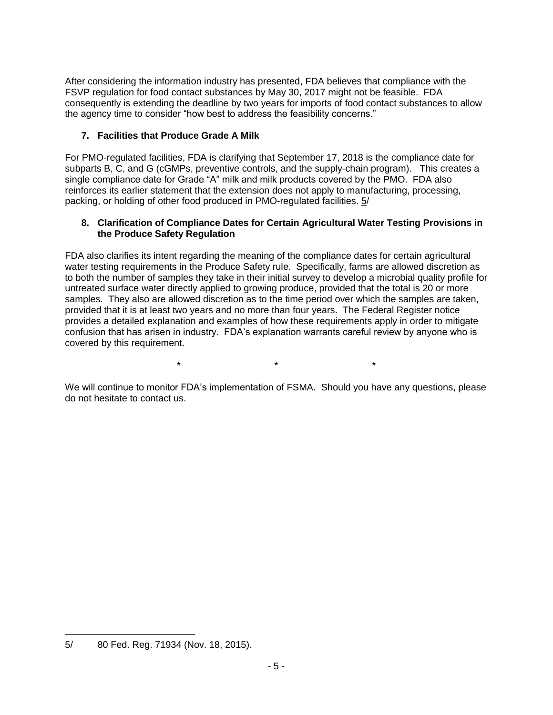After considering the information industry has presented, FDA believes that compliance with the FSVP regulation for food contact substances by May 30, 2017 might not be feasible. FDA consequently is extending the deadline by two years for imports of food contact substances to allow the agency time to consider "how best to address the feasibility concerns."

# **7. Facilities that Produce Grade A Milk**

For PMO-regulated facilities, FDA is clarifying that September 17, 2018 is the compliance date for subparts B, C, and G (cGMPs, preventive controls, and the supply-chain program). This creates a single compliance date for Grade "A" milk and milk products covered by the PMO. FDA also reinforces its earlier statement that the extension does not apply to manufacturing, processing, packing, or holding of other food produced in PMO-regulated facilities. 5/

### **8. Clarification of Compliance Dates for Certain Agricultural Water Testing Provisions in the Produce Safety Regulation**

FDA also clarifies its intent regarding the meaning of the compliance dates for certain agricultural water testing requirements in the Produce Safety rule. Specifically, farms are allowed discretion as to both the number of samples they take in their initial survey to develop a microbial quality profile for untreated surface water directly applied to growing produce, provided that the total is 20 or more samples. They also are allowed discretion as to the time period over which the samples are taken, provided that it is at least two years and no more than four years. The Federal Register notice provides a detailed explanation and examples of how these requirements apply in order to mitigate confusion that has arisen in industry. FDA's explanation warrants careful review by anyone who is covered by this requirement.

We will continue to monitor FDA's implementation of FSMA. Should you have any questions, please do not hesitate to contact us.

\* \* \*

 $\overline{a}$ 5/ 80 Fed. Reg. 71934 (Nov. 18, 2015).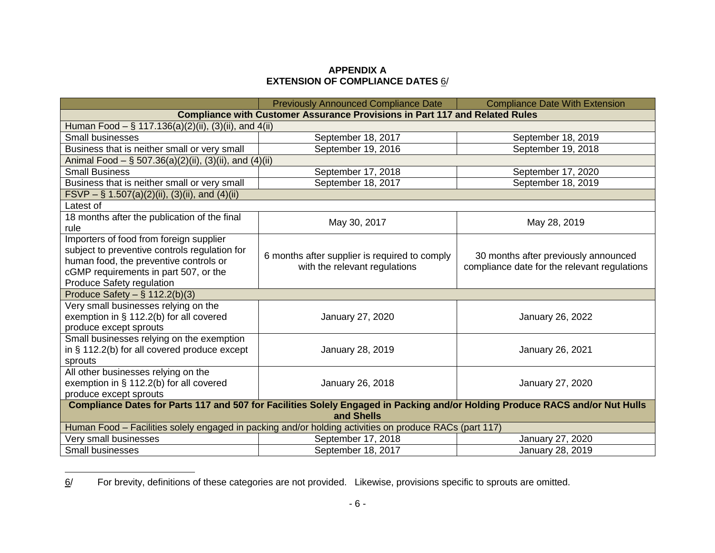### **APPENDIX A EXTENSION OF COMPLIANCE DATES** 6/

|                                                                                                                                    | <b>Previously Announced Compliance Date</b>                                    | <b>Compliance Date With Extension</b>                                                |  |
|------------------------------------------------------------------------------------------------------------------------------------|--------------------------------------------------------------------------------|--------------------------------------------------------------------------------------|--|
| <b>Compliance with Customer Assurance Provisions in Part 117 and Related Rules</b>                                                 |                                                                                |                                                                                      |  |
| Human Food $-$ § 117.136(a)(2)(ii), (3)(ii), and 4(ii)                                                                             |                                                                                |                                                                                      |  |
| <b>Small businesses</b>                                                                                                            | September 18, 2017                                                             | September 18, 2019                                                                   |  |
| Business that is neither small or very small                                                                                       | September 19, 2016                                                             | September 19, 2018                                                                   |  |
| Animal Food $-$ § 507.36(a)(2)(ii), (3)(ii), and (4)(ii)                                                                           |                                                                                |                                                                                      |  |
| <b>Small Business</b>                                                                                                              | September 17, 2018                                                             | September 17, 2020                                                                   |  |
| Business that is neither small or very small                                                                                       | September 18, 2017                                                             | September 18, 2019                                                                   |  |
| FSVP – § 1.507(a)(2)(ii), (3)(ii), and (4)(ii)                                                                                     |                                                                                |                                                                                      |  |
| Latest of                                                                                                                          |                                                                                |                                                                                      |  |
| 18 months after the publication of the final                                                                                       | May 30, 2017                                                                   | May 28, 2019                                                                         |  |
| rule                                                                                                                               |                                                                                |                                                                                      |  |
| Importers of food from foreign supplier<br>subject to preventive controls regulation for<br>human food, the preventive controls or | 6 months after supplier is required to comply<br>with the relevant regulations | 30 months after previously announced<br>compliance date for the relevant regulations |  |
| cGMP requirements in part 507, or the<br>Produce Safety regulation                                                                 |                                                                                |                                                                                      |  |
| Produce Safety $-$ § 112.2(b)(3)                                                                                                   |                                                                                |                                                                                      |  |
| Very small businesses relying on the                                                                                               |                                                                                |                                                                                      |  |
| exemption in § 112.2(b) for all covered                                                                                            | January 27, 2020                                                               | January 26, 2022                                                                     |  |
| produce except sprouts                                                                                                             |                                                                                |                                                                                      |  |
| Small businesses relying on the exemption                                                                                          |                                                                                |                                                                                      |  |
| in § 112.2(b) for all covered produce except                                                                                       | January 28, 2019                                                               | January 26, 2021                                                                     |  |
| sprouts                                                                                                                            |                                                                                |                                                                                      |  |
| All other businesses relying on the                                                                                                |                                                                                |                                                                                      |  |
| exemption in § 112.2(b) for all covered                                                                                            | January 26, 2018                                                               | January 27, 2020                                                                     |  |
| produce except sprouts                                                                                                             |                                                                                |                                                                                      |  |
| Compliance Dates for Parts 117 and 507 for Facilities Solely Engaged in Packing and/or Holding Produce RACS and/or Nut Hulls       |                                                                                |                                                                                      |  |
| and Shells                                                                                                                         |                                                                                |                                                                                      |  |
| Human Food - Facilities solely engaged in packing and/or holding activities on produce RACs (part 117)                             |                                                                                |                                                                                      |  |
| Very small businesses                                                                                                              | September 17, 2018                                                             | January 27, 2020                                                                     |  |
| Small businesses                                                                                                                   | September 18, 2017                                                             | January 28, 2019                                                                     |  |

<sup>6/</sup> For brevity, definitions of these categories are not provided. Likewise, provisions specific to sprouts are omitted.

 $\overline{a}$